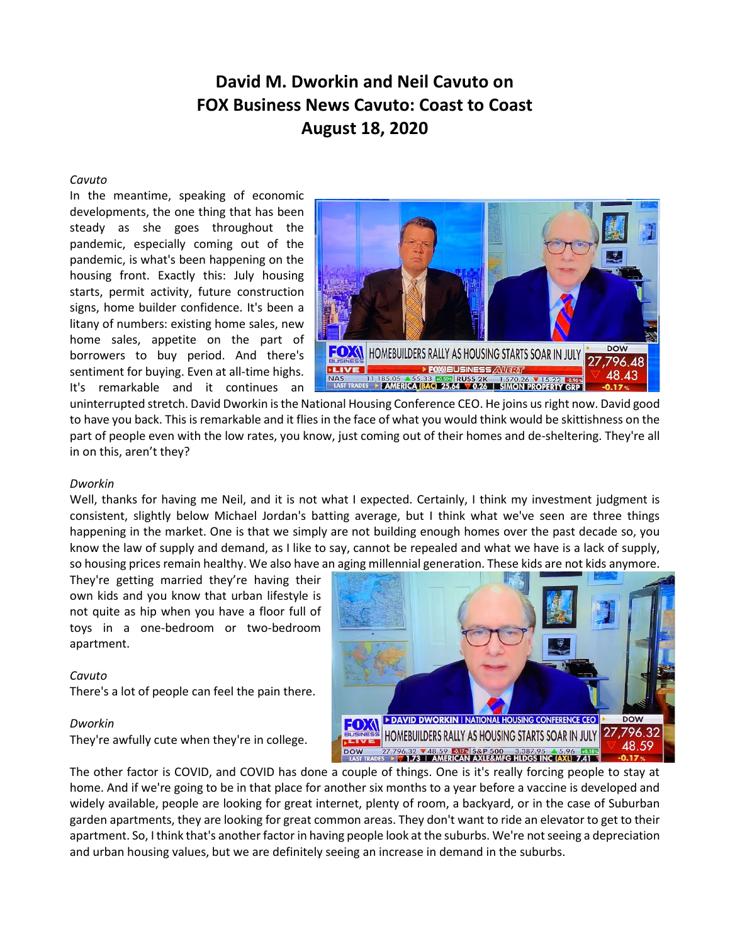# **David M. Dworkin and Neil Cavuto on FOX Business News Cavuto: Coast to Coast August 18, 2020**

### *Cavuto*

In the meantime, speaking of economic developments, the one thing that has been steady as she goes throughout the pandemic, especially coming out of the pandemic, is what's been happening on the housing front. Exactly this: July housing starts, permit activity, future construction signs, home builder confidence. It's been a litany of numbers: existing home sales, new home sales, appetite on the part of borrowers to buy period. And there's sentiment for buying. Even at all-time highs. It's remarkable and it continues an



uninterrupted stretch. David Dworkin is the National Housing Conference CEO. He joins us right now. David good to have you back. This is remarkable and it flies in the face of what you would think would be skittishness on the part of people even with the low rates, you know, just coming out of their homes and de-sheltering. They're all in on this, aren't they?

## *Dworkin*

Well, thanks for having me Neil, and it is not what I expected. Certainly, I think my investment judgment is consistent, slightly below Michael Jordan's batting average, but I think what we've seen are three things happening in the market. One is that we simply are not building enough homes over the past decade so, you know the law of supply and demand, as I like to say, cannot be repealed and what we have is a lack of supply, so housing prices remain healthy. We also have an aging millennial generation. These kids are not kids anymore.

They're getting married they're having their own kids and you know that urban lifestyle is not quite as hip when you have a floor full of toys in a one-bedroom or two-bedroom apartment.

## *Cavuto*

There's a lot of people can feel the pain there.

#### *Dworkin*

They're awfully cute when they're in college.



The other factor is COVID, and COVID has done a couple of things. One is it's really forcing people to stay at home. And if we're going to be in that place for another six months to a year before a vaccine is developed and widely available, people are looking for great internet, plenty of room, a backyard, or in the case of Suburban garden apartments, they are looking for great common areas. They don't want to ride an elevator to get to their apartment. So, I think that's another factor in having people look at the suburbs. We're not seeing a depreciation and urban housing values, but we are definitely seeing an increase in demand in the suburbs.